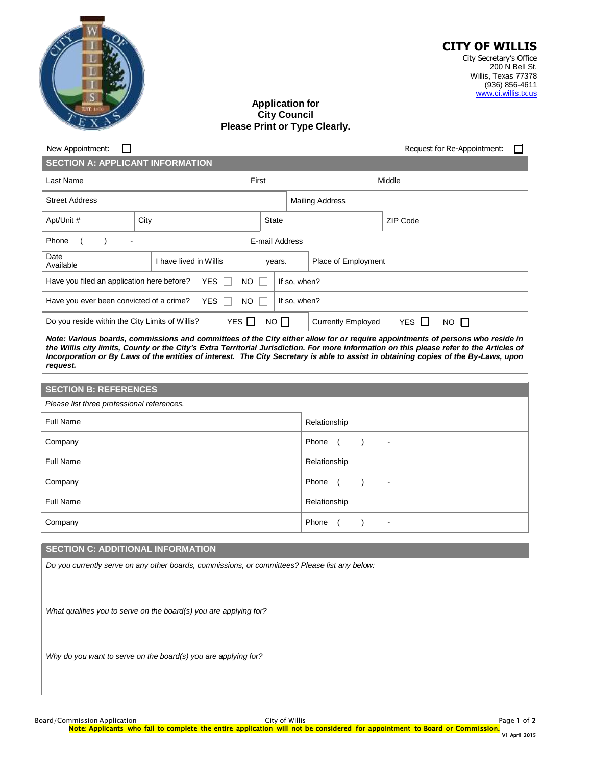

#### **CITY OF WILLIS** City Secretary's Office 200 N Bell St. Willis, Texas 77378 (936) 856-4611 [www.ci.willis.tx.us](http://www.ci.willis.tx.us/)

# **Application for City Council Please Print or Type Clearly.**

| New Appointment:<br>H                                                                                                                                                                                                                                                                                                                                                                                                          |                        |  |                        |                |                                                  | Request for Re-Appointment: |          |  |  |
|--------------------------------------------------------------------------------------------------------------------------------------------------------------------------------------------------------------------------------------------------------------------------------------------------------------------------------------------------------------------------------------------------------------------------------|------------------------|--|------------------------|----------------|--------------------------------------------------|-----------------------------|----------|--|--|
| <b>SECTION A: APPLICANT INFORMATION</b>                                                                                                                                                                                                                                                                                                                                                                                        |                        |  |                        |                |                                                  |                             |          |  |  |
| Last Name                                                                                                                                                                                                                                                                                                                                                                                                                      |                        |  | First                  |                |                                                  |                             | Middle   |  |  |
| <b>Street Address</b>                                                                                                                                                                                                                                                                                                                                                                                                          |                        |  | <b>Mailing Address</b> |                |                                                  |                             |          |  |  |
| Apt/Unit #<br>City                                                                                                                                                                                                                                                                                                                                                                                                             |                        |  |                        | <b>State</b>   |                                                  |                             | ZIP Code |  |  |
| Phone<br>$\lambda$                                                                                                                                                                                                                                                                                                                                                                                                             |                        |  |                        | E-mail Address |                                                  |                             |          |  |  |
| Date<br>Available                                                                                                                                                                                                                                                                                                                                                                                                              | I have lived in Willis |  |                        | years.         |                                                  | Place of Employment         |          |  |  |
| Have you filed an application here before?<br><b>YES</b><br><b>NO</b>                                                                                                                                                                                                                                                                                                                                                          |                        |  |                        |                | If so, when?                                     |                             |          |  |  |
| If so, when?<br>Have you ever been convicted of a crime?<br><b>YES</b><br><b>NO</b>                                                                                                                                                                                                                                                                                                                                            |                        |  |                        |                |                                                  |                             |          |  |  |
| YES $\Box$<br>NO <sub>1</sub><br>YES $\Box$<br>Do you reside within the City Limits of Willis?<br><b>Currently Employed</b><br>$NO$ $\Box$                                                                                                                                                                                                                                                                                     |                        |  |                        |                |                                                  |                             |          |  |  |
| Note: Various boards, commissions and committees of the City either allow for or require appointments of persons who reside in<br>the Willis city limits, County or the City's Extra Territorial Jurisdiction. For more information on this please refer to the Articles of<br>Incorporation or By Laws of the entities of interest. The City Secretary is able to assist in obtaining copies of the By-Laws, upon<br>request. |                        |  |                        |                |                                                  |                             |          |  |  |
|                                                                                                                                                                                                                                                                                                                                                                                                                                |                        |  |                        |                |                                                  |                             |          |  |  |
| <b>SECTION B: REFERENCES</b>                                                                                                                                                                                                                                                                                                                                                                                                   |                        |  |                        |                |                                                  |                             |          |  |  |
| Please list three professional references.                                                                                                                                                                                                                                                                                                                                                                                     |                        |  |                        |                |                                                  |                             |          |  |  |
| <b>Full Name</b>                                                                                                                                                                                                                                                                                                                                                                                                               |                        |  |                        |                | Relationship                                     |                             |          |  |  |
| Company                                                                                                                                                                                                                                                                                                                                                                                                                        |                        |  |                        |                | Phone<br>$\overline{ }$<br>$\lambda$             | $\blacksquare$              |          |  |  |
| Full Name                                                                                                                                                                                                                                                                                                                                                                                                                      |                        |  |                        |                |                                                  | Relationship                |          |  |  |
| Company                                                                                                                                                                                                                                                                                                                                                                                                                        |                        |  |                        |                | Phone<br>$\left($<br>$\lambda$<br>$\blacksquare$ |                             |          |  |  |
| <b>Full Name</b>                                                                                                                                                                                                                                                                                                                                                                                                               |                        |  |                        |                | Relationship                                     |                             |          |  |  |
|                                                                                                                                                                                                                                                                                                                                                                                                                                |                        |  |                        |                |                                                  |                             |          |  |  |

### **SECTION C: ADDITIONAL INFORMATION**

*Do you currently serve on any other boards, commissions, or committees? Please list any below:*

Company **Phone (** ) -

*What qualifies you to serve on the board(s) you are applying for?*

*Why do you want to serve on the board(s) you are applying for?*